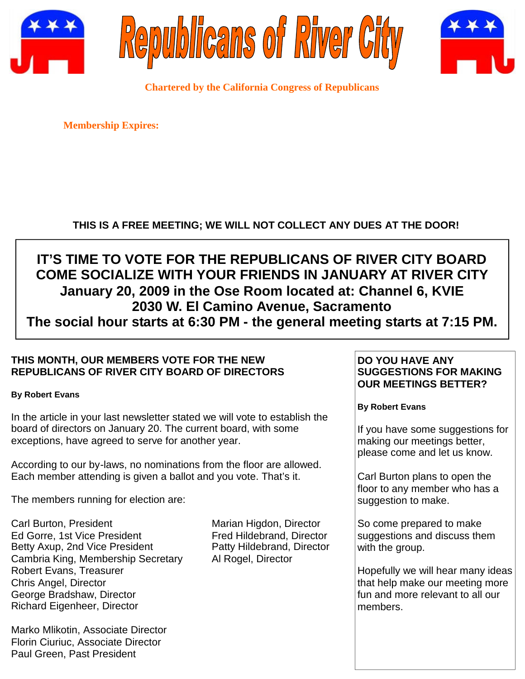





**Chartered by the California Congress of Republicans**

**Membership Expires:**

# **THIS IS A FREE MEETING; WE WILL NOT COLLECT ANY DUES AT THE DOOR!**

# **IT'S TIME TO VOTE FOR THE REPUBLICANS OF RIVER CITY BOARD COME SOCIALIZE WITH YOUR FRIENDS IN JANUARY AT RIVER CITY January 20, 2009 in the Ose Room located at: Channel 6, KVIE 2030 W. El Camino Avenue, Sacramento The social hour starts at 6:30 PM - the general meeting starts at 7:15 PM.**

# **THIS MONTH, OUR MEMBERS VOTE FOR THE NEW REPUBLICANS OF RIVER CITY BOARD OF DIRECTORS**

#### **By Robert Evans**

In the article in your last newsletter stated we will vote to establish the board of directors on January 20. The current board, with some exceptions, have agreed to serve for another year.

According to our by-laws, no nominations from the floor are allowed. Each member attending is given a ballot and you vote. That's it.

The members running for election are:

Carl Burton, President Marian Higdon, Director Ed Gorre, 1st Vice President Fred Hildebrand, Director Betty Axup, 2nd Vice President Patty Hildebrand, Director Cambria King, Membership Secretary Al Rogel, Director Robert Evans, Treasurer Chris Angel, Director George Bradshaw, Director Richard Eigenheer, Director

Marko Mlikotin, Associate Director Florin Ciuriuc, Associate Director Paul Green, Past President

### **DO YOU HAVE ANY SUGGESTIONS FOR MAKING OUR MEETINGS BETTER?**

**By Robert Evans**

If you have some suggestions for making our meetings better, please come and let us know.

Carl Burton plans to open the floor to any member who has a suggestion to make.

So come prepared to make suggestions and discuss them with the group.

Hopefully we will hear many ideas that help make our meeting more fun and more relevant to all our members.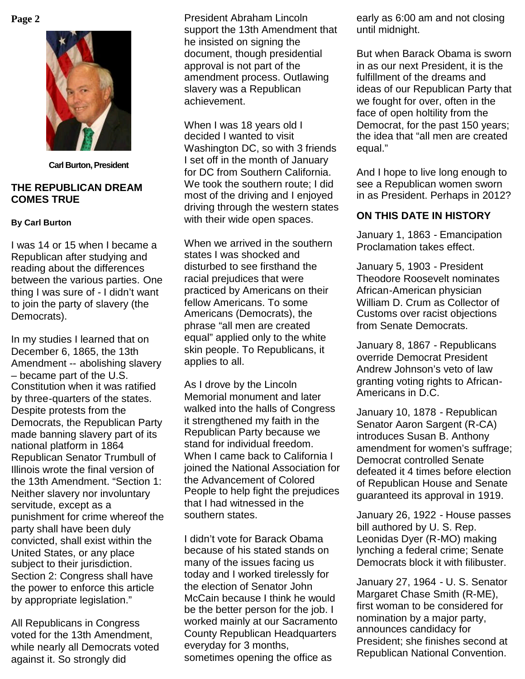

**Carl Burton, President**

#### **THE REPUBLICAN DREAM COMES TRUE**

#### **By Carl Burton**

I was 14 or 15 when I became a Republican after studying and reading about the differences between the various parties. One thing I was sure of - I didn't want to join the party of slavery (the Democrats).

In my studies I learned that on December 6, 1865, the 13th Amendment -- abolishing slavery – became part of the U.S. Constitution when it was ratified by three-quarters of the states. Despite protests from the Democrats, the Republican Party made banning slavery part of its national platform in 1864 Republican Senator Trumbull of Illinois wrote the final version of the 13th Amendment. "Section 1: Neither slavery nor involuntary servitude, except as a punishment for crime whereof the party shall have been duly convicted, shall exist within the United States, or any place subject to their jurisdiction. Section 2: Congress shall have the power to enforce this article by appropriate legislation."

All Republicans in Congress voted for the 13th Amendment, while nearly all Democrats voted against it. So strongly did

**Page 2** President Abraham Lincoln support the 13th Amendment that he insisted on signing the document, though presidential approval is not part of the amendment process. Outlawing slavery was a Republican achievement.

> When I was 18 years old I decided I wanted to visit Washington DC, so with 3 friends I set off in the month of January for DC from Southern California. We took the southern route: I did most of the driving and I enjoyed driving through the western states with their wide open spaces.

When we arrived in the southern states I was shocked and disturbed to see firsthand the racial prejudices that were practiced by Americans on their fellow Americans. To some Americans (Democrats), the phrase "all men are created equal" applied only to the white skin people. To Republicans, it applies to all.

As I drove by the Lincoln Memorial monument and later walked into the halls of Congress it strengthened my faith in the Republican Party because we stand for individual freedom. When I came back to California I joined the National Association for the Advancement of Colored People to help fight the prejudices that I had witnessed in the southern states.

I didn't vote for Barack Obama because of his stated stands on many of the issues facing us today and I worked tirelessly for the election of Senator John McCain because I think he would be the better person for the job. I worked mainly at our Sacramento County Republican Headquarters everyday for 3 months, sometimes opening the office as

early as 6:00 am and not closing until midnight.

But when Barack Obama is sworn in as our next President, it is the fulfillment of the dreams and ideas of our Republican Party that we fought for over, often in the face of open holtility from the Democrat, for the past 150 years; the idea that "all men are created equal."

And I hope to live long enough to see a Republican women sworn in as President. Perhaps in 2012?

# **ON THIS DATE IN HISTORY**

January 1, 1863 - Emancipation Proclamation takes effect.

January 5, 1903 - President Theodore Roosevelt nominates African-American physician William D. Crum as Collector of Customs over racist objections from Senate Democrats.

January 8, 1867 - Republicans override Democrat President Andrew Johnson's veto of law granting voting rights to African-Americans in D.C.

January 10, 1878 - Republican Senator Aaron Sargent (R-CA) introduces Susan B. Anthony amendment for women's suffrage; Democrat controlled Senate defeated it 4 times before election of Republican House and Senate guaranteed its approval in 1919.

January 26, 1922 - House passes bill authored by U. S. Rep. Leonidas Dyer (R-MO) making lynching a federal crime; Senate Democrats block it with filibuster.

January 27, 1964 - U. S. Senator Margaret Chase Smith (R-ME), first woman to be considered for nomination by a major party, announces candidacy for President; she finishes second at Republican National Convention.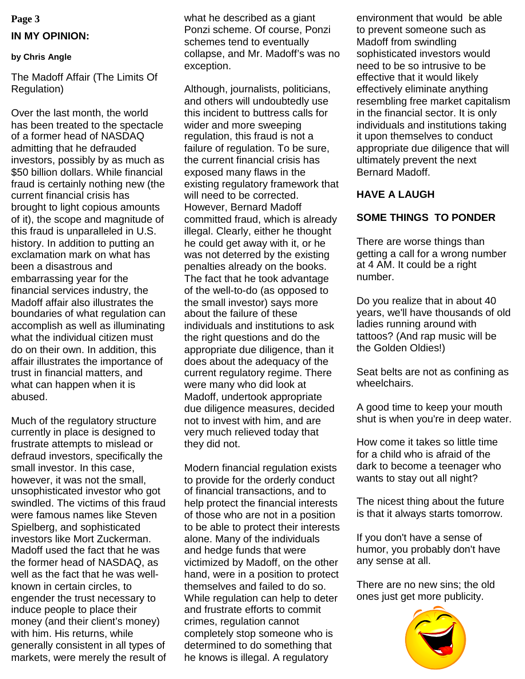# **Page 3 IN MY OPINION:**

#### **by Chris Angle**

The Madoff Affair (The Limits Of Regulation)

Over the last month, the world has been treated to the spectacle of a former head of NASDAQ admitting that he defrauded investors, possibly by as much as \$50 billion dollars. While financial fraud is certainly nothing new (the current financial crisis has brought to light copious amounts of it), the scope and magnitude of this fraud is unparalleled in U.S. history. In addition to putting an exclamation mark on what has been a disastrous and embarrassing year for the financial services industry, the Madoff affair also illustrates the boundaries of what regulation can accomplish as well as illuminating what the individual citizen must do on their own. In addition, this affair illustrates the importance of trust in financial matters, and what can happen when it is abused.

Much of the regulatory structure currently in place is designed to frustrate attempts to mislead or defraud investors, specifically the small investor. In this case, however, it was not the small, unsophisticated investor who got swindled. The victims of this fraud were famous names like Steven Spielberg, and sophisticated investors like Mort Zuckerman. Madoff used the fact that he was the former head of NASDAQ, as well as the fact that he was wellknown in certain circles, to engender the trust necessary to induce people to place their money (and their client's money) with him. His returns, while generally consistent in all types of markets, were merely the result of

what he described as a giant Ponzi scheme. Of course, Ponzi schemes tend to eventually collapse, and Mr. Madoff's was no exception.

Although, journalists, politicians, and others will undoubtedly use this incident to buttress calls for wider and more sweeping regulation, this fraud is not a failure of regulation. To be sure, the current financial crisis has exposed many flaws in the existing regulatory framework that will need to be corrected. However, Bernard Madoff committed fraud, which is already illegal. Clearly, either he thought he could get away with it, or he was not deterred by the existing penalties already on the books. The fact that he took advantage of the well-to-do (as opposed to the small investor) says more about the failure of these individuals and institutions to ask the right questions and do the appropriate due diligence, than it does about the adequacy of the current regulatory regime. There were many who did look at Madoff, undertook appropriate due diligence measures, decided not to invest with him, and are very much relieved today that they did not.

Modern financial regulation exists to provide for the orderly conduct of financial transactions, and to help protect the financial interests of those who are not in a position to be able to protect their interests alone. Many of the individuals and hedge funds that were victimized by Madoff, on the other hand, were in a position to protect themselves and failed to do so. While regulation can help to deter and frustrate efforts to commit crimes, regulation cannot completely stop someone who is determined to do something that he knows is illegal. A regulatory

environment that would be able to prevent someone such as Madoff from swindling sophisticated investors would need to be so intrusive to be effective that it would likely effectively eliminate anything resembling free market capitalism in the financial sector. It is only individuals and institutions taking it upon themselves to conduct appropriate due diligence that will ultimately prevent the next Bernard Madoff.

#### **HAVE A LAUGH**

## **SOME THINGS TO PONDER**

There are worse things than getting a call for a wrong number at 4 AM. It could be a right number.

Do you realize that in about 40 years, we'll have thousands of old ladies running around with tattoos? (And rap music will be the Golden Oldies!)

Seat belts are not as confining as wheelchairs.

A good time to keep your mouth shut is when you're in deep water.

How come it takes so little time for a child who is afraid of the dark to become a teenager who wants to stay out all night?

The nicest thing about the future is that it always starts tomorrow.

If you don't have a sense of humor, you probably don't have any sense at all.

There are no new sins; the old ones just get more publicity.

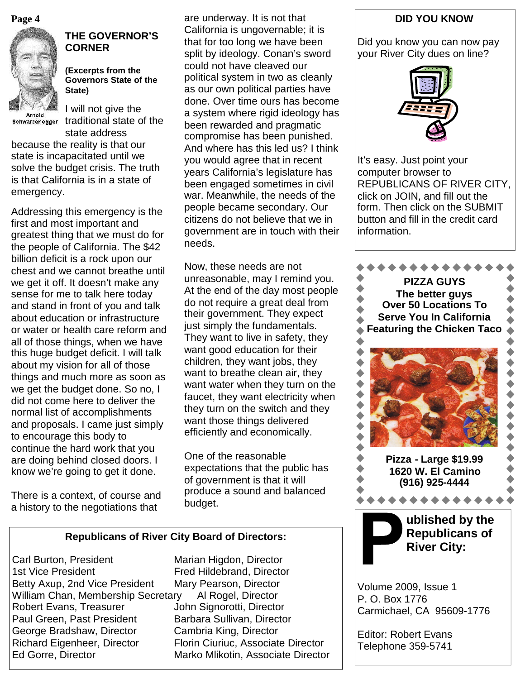**Page 4**



# **THE GOVERNOR'S CORNER**

**(Excerpts from the Governors State of the State)**

Arnold

I will not give the schwarzenegger traditional state of the state address

because the reality is that our state is incapacitated until we solve the budget crisis. The truth is that California is in a state of emergency.

Addressing this emergency is the first and most important and greatest thing that we must do for the people of California. The \$42 billion deficit is a rock upon our chest and we cannot breathe until we get it off. It doesn't make any sense for me to talk here today and stand in front of you and talk about education or infrastructure or water or health care reform and all of those things, when we have this huge budget deficit. I will talk about my vision for all of those things and much more as soon as we get the budget done. So no, I did not come here to deliver the normal list of accomplishments and proposals. I came just simply to encourage this body to continue the hard work that you are doing behind closed doors. I know we're going to get it done.

There is a context, of course and a history to the negotiations that

are underway. It is not that California is ungovernable; it is that for too long we have been split by ideology. Conan's sword could not have cleaved our political system in two as cleanly as our own political parties have done. Over time ours has become a system where rigid ideology has been rewarded and pragmatic compromise has been punished. And where has this led us? I think you would agree that in recent years California's legislature has been engaged sometimes in civil war. Meanwhile, the needs of the people became secondary. Our citizens do not believe that we in government are in touch with their needs.

Now, these needs are not unreasonable, may I remind you. At the end of the day most people do not require a great deal from their government. They expect just simply the fundamentals. They want to live in safety, they want good education for their children, they want jobs, they want to breathe clean air, they want water when they turn on the faucet, they want electricity when they turn on the switch and they want those things delivered efficiently and economically.

One of the reasonable expectations that the public has of government is that it will produce a sound and balanced budget.

#### **Republicans of River City Board of Directors:**

Carl Burton, President Marian Higdon, Director 1st Vice President Fred Hildebrand, Director Betty Axup, 2nd Vice President Mary Pearson, Director William Chan, Membership Secretary Al Rogel, Director Robert Evans, Treasurer **John Signorotti, Director** Paul Green, Past President Barbara Sullivan, Director George Bradshaw, Director Cambria King, Director Richard Eigenheer, Director Florin Ciuriuc, Associate Director Ed Gorre, Director **Marko Mlikotin, Associate Director** 

#### **DID YOU KNOW**

Did you know you can now pay your River City dues on line?



It's easy. Just point your computer browser to REPUBLICANS OF RIVER CITY, click on JOIN, and fill out the form. Then click on the SUBMIT button and fill in the credit card information.



Volume 2009, Issue 1 P. O. Box 1776 Carmichael, CA 95609-1776

Editor: Robert Evans Telephone 359-5741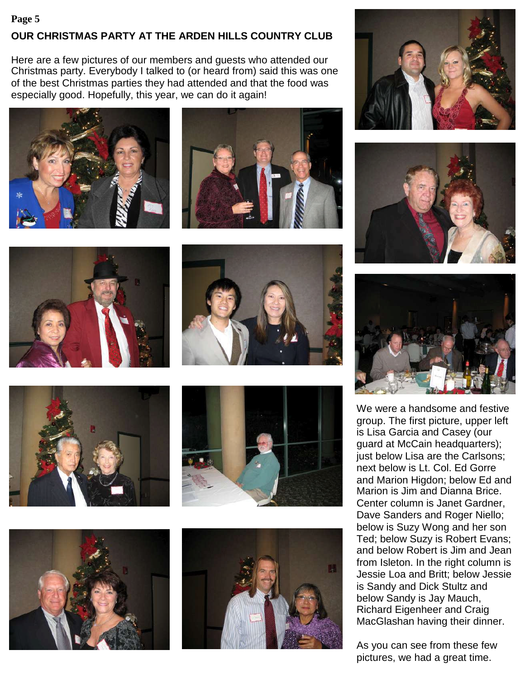# **OUR CHRISTMAS PARTY AT THE ARDEN HILLS COUNTRY CLUB Page 5**

Here are a few pictures of our members and guests who attended our Christmas party. Everybody I talked to (or heard from) said this was one of the best Christmas parties they had attended and that the food was especially good. Hopefully, this year, we can do it again!























We were a handsome and festive group. The first picture, upper left is Lisa Garcia and Casey (our guard at McCain headquarters); just below Lisa are the Carlsons; next below is Lt. Col. Ed Gorre and Marion Higdon; below Ed and Marion is Jim and Dianna Brice. Center column is Janet Gardner, Dave Sanders and Roger Niello; below is Suzy Wong and her son Ted; below Suzy is Robert Evans; and below Robert is Jim and Jean from Isleton. In the right column is Jessie Loa and Britt; below Jessie is Sandy and Dick Stultz and below Sandy is Jay Mauch, Richard Eigenheer and Craig MacGlashan having their dinner.

As you can see from these few pictures, we had a great time.